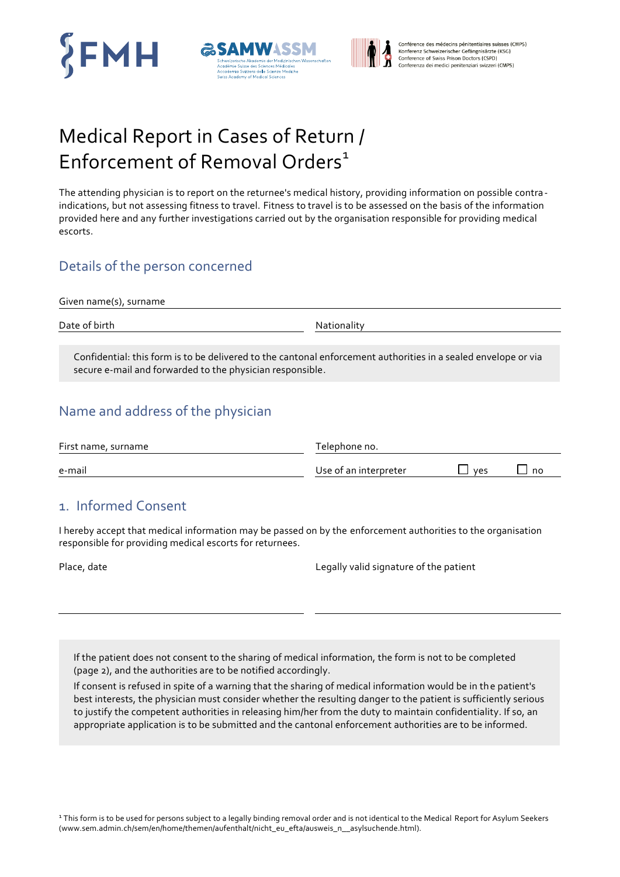





Conférence des médecins pénitentiaires suisses (CMPS) Konferenz Schweizerischer Gefängnisärzte (KSG) Conference of Swiss Prison Doctors (CSPD) Conferenza dei medici penitenziari svizzeri (CMPS)

# Medical Report in Cases of Return / Enforcement of Removal Orders $1$

The attending physician is to report on the returnee's medical history, providing information on possible contra indications, but not assessing fitness to travel. Fitness to travel is to be assessed on the basis of the information provided here and any further investigations carried out by the organisation responsible for providing medical escorts.

### Details of the person concerned

Given name(s), surname

Date of birth Nationality

Confidential: this form is to be delivered to the cantonal enforcement authorities in a sealed envelope or via secure e-mail and forwarded to the physician responsible.

### Name and address of the physician

| First name, surname | Telephone no.         |     |    |
|---------------------|-----------------------|-----|----|
| e-mail              | Use of an interpreter | ves | no |

### 1. Informed Consent

I hereby accept that medical information may be passed on by the enforcement authorities to the organisation responsible for providing medical escorts for returnees.

Place, date Legally valid signature of the patient

If the patient does not consent to the sharing of medical information, the form is not to be completed (page 2), and the authorities are to be notified accordingly.

If consent is refused in spite of a warning that the sharing of medical information would be in the patient's best interests, the physician must consider whether the resulting danger to the patient is sufficiently serious to justify the competent authorities in releasing him/her from the duty to maintain confidentiality. If so, an appropriate application is to be submitted and the cantonal enforcement authorities are to be informed.